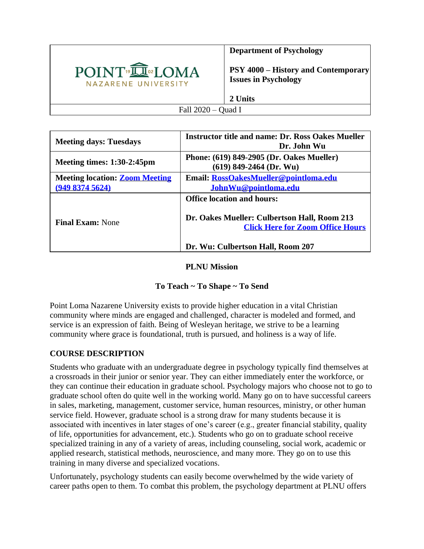

**Department of Psychology**

**PSY 4000 – History and Contemporary Issues in Psychology**

**2 Units**

Fall 2020 – Quad I

| <b>Meeting days: Tuesdays</b>                          | <b>Instructor title and name: Dr. Ross Oakes Mueller</b><br>Dr. John Wu                                                      |  |  |  |  |  |  |
|--------------------------------------------------------|------------------------------------------------------------------------------------------------------------------------------|--|--|--|--|--|--|
| Meeting times: $1:30-2:45$ pm                          | Phone: (619) 849-2905 (Dr. Oakes Mueller)<br>$(619)$ 849-2464 (Dr. Wu)                                                       |  |  |  |  |  |  |
| <b>Meeting location: Zoom Meeting</b><br>(94983745624) | Email: RossOakesMueller@pointloma.edu<br>JohnWu@pointloma.edu                                                                |  |  |  |  |  |  |
| <b>Final Exam: None</b>                                | <b>Office location and hours:</b><br>Dr. Oakes Mueller: Culbertson Hall, Room 213<br><b>Click Here for Zoom Office Hours</b> |  |  |  |  |  |  |
|                                                        | Dr. Wu: Culbertson Hall, Room 207                                                                                            |  |  |  |  |  |  |

#### **PLNU Mission**

# **To Teach ~ To Shape ~ To Send**

Point Loma Nazarene University exists to provide higher education in a vital Christian community where minds are engaged and challenged, character is modeled and formed, and service is an expression of faith. Being of Wesleyan heritage, we strive to be a learning community where grace is foundational, truth is pursued, and holiness is a way of life.

# **COURSE DESCRIPTION**

Students who graduate with an undergraduate degree in psychology typically find themselves at a crossroads in their junior or senior year. They can either immediately enter the workforce, or they can continue their education in graduate school. Psychology majors who choose not to go to graduate school often do quite well in the working world. Many go on to have successful careers in sales, marketing, management, customer service, human resources, ministry, or other human service field. However, graduate school is a strong draw for many students because it is associated with incentives in later stages of one's career (e.g., greater financial stability, quality of life, opportunities for advancement, etc.). Students who go on to graduate school receive specialized training in any of a variety of areas, including counseling, social work, academic or applied research, statistical methods, neuroscience, and many more. They go on to use this training in many diverse and specialized vocations.

Unfortunately, psychology students can easily become overwhelmed by the wide variety of career paths open to them. To combat this problem, the psychology department at PLNU offers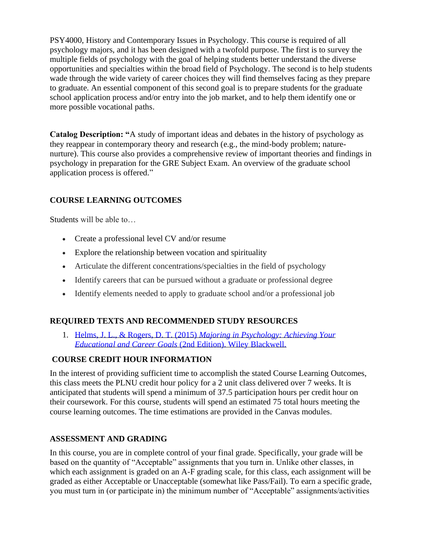PSY4000, History and Contemporary Issues in Psychology. This course is required of all psychology majors, and it has been designed with a twofold purpose. The first is to survey the multiple fields of psychology with the goal of helping students better understand the diverse opportunities and specialties within the broad field of Psychology. The second is to help students wade through the wide variety of career choices they will find themselves facing as they prepare to graduate. An essential component of this second goal is to prepare students for the graduate school application process and/or entry into the job market, and to help them identify one or more possible vocational paths.

**Catalog Description: "**A study of important ideas and debates in the history of psychology as they reappear in contemporary theory and research (e.g., the mind-body problem; naturenurture). This course also provides a comprehensive review of important theories and findings in psychology in preparation for the GRE Subject Exam. An overview of the graduate school application process is offered."

# **COURSE LEARNING OUTCOMES**

Students will be able to…

- Create a professional level CV and/or resume
- Explore the relationship between vocation and spirituality
- Articulate the different concentrations/specialties in the field of psychology
- Identify careers that can be pursued without a graduate or professional degree
- Identify elements needed to apply to graduate school and/or a professional job

# **REQUIRED TEXTS AND RECOMMENDED STUDY RESOURCES**

1. Helms, J. L., & Rogers, D. T. (2015) *[Majoring in Psychology: Achieving Your](https://www.amazon.com/Majoring-Psychology-Achieving-Educational-Career-dp-111874103X/dp/111874103X/ref=mt_other?_encoding=UTF8&me=&qid=)  Educational and Career Goals* [\(2nd Edition\). Wiley Blackwell.](https://www.amazon.com/Majoring-Psychology-Achieving-Educational-Career-dp-111874103X/dp/111874103X/ref=mt_other?_encoding=UTF8&me=&qid=)

# **COURSE CREDIT HOUR INFORMATION**

In the interest of providing sufficient time to accomplish the stated Course Learning Outcomes, this class meets the PLNU credit hour policy for a 2 unit class delivered over 7 weeks. It is anticipated that students will spend a minimum of 37.5 participation hours per credit hour on their coursework. For this course, students will spend an estimated 75 total hours meeting the course learning outcomes. The time estimations are provided in the Canvas modules.

#### **ASSESSMENT AND GRADING**

In this course, you are in complete control of your final grade. Specifically, your grade will be based on the quantity of "Acceptable" assignments that you turn in. Unlike other classes, in which each assignment is graded on an A-F grading scale, for this class, each assignment will be graded as either Acceptable or Unacceptable (somewhat like Pass/Fail). To earn a specific grade, you must turn in (or participate in) the minimum number of "Acceptable" assignments/activities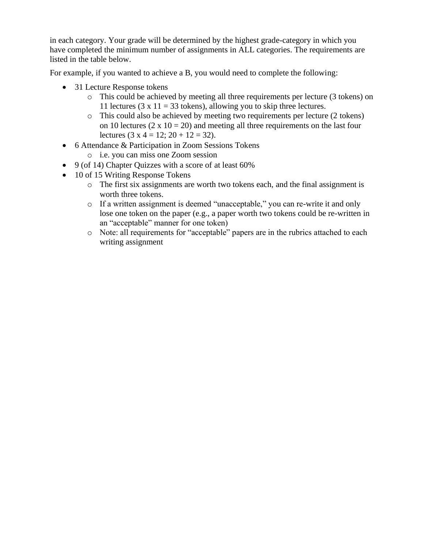in each category. Your grade will be determined by the highest grade-category in which you have completed the minimum number of assignments in ALL categories. The requirements are listed in the table below.

For example, if you wanted to achieve a B, you would need to complete the following:

- 31 Lecture Response tokens
	- o This could be achieved by meeting all three requirements per lecture (3 tokens) on 11 lectures (3 x 11 = 33 tokens), allowing you to skip three lectures.
	- o This could also be achieved by meeting two requirements per lecture (2 tokens) on 10 lectures ( $2 \times 10 = 20$ ) and meeting all three requirements on the last four lectures  $(3 \times 4 = 12; 20 + 12 = 32)$ .
- 6 Attendance & Participation in Zoom Sessions Tokens
	- o i.e. you can miss one Zoom session
- 9 (of 14) Chapter Ouizzes with a score of at least 60%
- 10 of 15 Writing Response Tokens
	- o The first six assignments are worth two tokens each, and the final assignment is worth three tokens.
	- o If a written assignment is deemed "unacceptable," you can re-write it and only lose one token on the paper (e.g., a paper worth two tokens could be re-written in an "acceptable" manner for one token)
	- o Note: all requirements for "acceptable" papers are in the rubrics attached to each writing assignment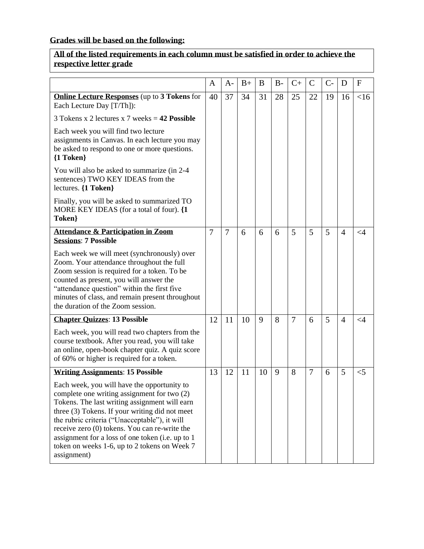# **Grades will be based on the following:**

# **All of the listed requirements in each column must be satisfied in order to achieve the respective letter grade**

|                                                                                                                                                                                                                                                                                                                                                                                                                    | A              | $A-$           | $B+$ | B  | $B -$ | $C+$           | $\mathcal{C}$ | $C-$ | D              | $\mathbf{F}$ |
|--------------------------------------------------------------------------------------------------------------------------------------------------------------------------------------------------------------------------------------------------------------------------------------------------------------------------------------------------------------------------------------------------------------------|----------------|----------------|------|----|-------|----------------|---------------|------|----------------|--------------|
| <b>Online Lecture Responses</b> (up to 3 Tokens for<br>Each Lecture Day [T/Th]):                                                                                                                                                                                                                                                                                                                                   | 40             | 37             | 34   | 31 | 28    | 25             | 22            | 19   | 16             | <16          |
| 3 Tokens x 2 lectures x 7 weeks = $42$ Possible                                                                                                                                                                                                                                                                                                                                                                    |                |                |      |    |       |                |               |      |                |              |
| Each week you will find two lecture<br>assignments in Canvas. In each lecture you may<br>be asked to respond to one or more questions.<br>${1}$ Token $}$                                                                                                                                                                                                                                                          |                |                |      |    |       |                |               |      |                |              |
| You will also be asked to summarize (in 2-4)<br>sentences) TWO KEY IDEAS from the<br>lectures. {1 Token}                                                                                                                                                                                                                                                                                                           |                |                |      |    |       |                |               |      |                |              |
| Finally, you will be asked to summarized TO<br>MORE KEY IDEAS (for a total of four). {1<br>Token}                                                                                                                                                                                                                                                                                                                  |                |                |      |    |       |                |               |      |                |              |
| <b>Attendance &amp; Participation in Zoom</b><br><b>Sessions: 7 Possible</b>                                                                                                                                                                                                                                                                                                                                       | $\overline{7}$ | $\overline{7}$ | 6    | 6  | 6     | 5              | 5             | 5    | $\overline{4}$ | $\leq$ 4     |
| Each week we will meet (synchronously) over<br>Zoom. Your attendance throughout the full<br>Zoom session is required for a token. To be<br>counted as present, you will answer the<br>"attendance question" within the first five<br>minutes of class, and remain present throughout<br>the duration of the Zoom session.                                                                                          |                |                |      |    |       |                |               |      |                |              |
| <b>Chapter Quizzes: 13 Possible</b>                                                                                                                                                                                                                                                                                                                                                                                | 12             | 11             | 10   | 9  | 8     | $\overline{7}$ | 6             | 5    | $\overline{4}$ | ${<}4$       |
| Each week, you will read two chapters from the<br>course textbook. After you read, you will take<br>an online, open-book chapter quiz. A quiz score<br>of 60% or higher is required for a token.                                                                                                                                                                                                                   |                |                |      |    |       |                |               |      |                |              |
| <b>Writing Assignments: 15 Possible</b>                                                                                                                                                                                                                                                                                                                                                                            | 13             | 12             | 11   | 10 | 9     | 8              | 7             | 6    | 5              | $<$ 5        |
| Each week, you will have the opportunity to<br>complete one writing assignment for two (2)<br>Tokens. The last writing assignment will earn<br>three (3) Tokens. If your writing did not meet<br>the rubric criteria ("Unacceptable"), it will<br>receive zero (0) tokens. You can re-write the<br>assignment for a loss of one token (i.e. up to 1<br>token on weeks 1-6, up to 2 tokens on Week 7<br>assignment) |                |                |      |    |       |                |               |      |                |              |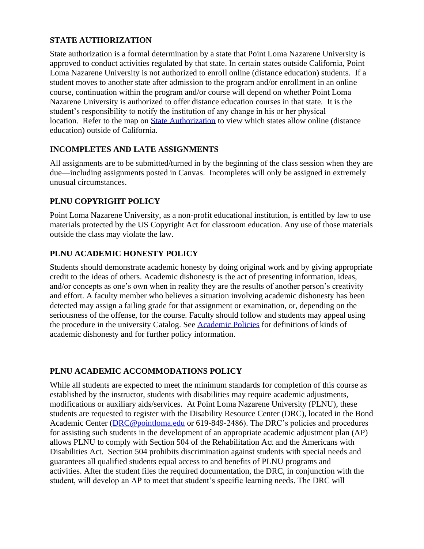#### **STATE AUTHORIZATION**

State authorization is a formal determination by a state that Point Loma Nazarene University is approved to conduct activities regulated by that state. In certain states outside California, Point Loma Nazarene University is not authorized to enroll online (distance education) students. If a student moves to another state after admission to the program and/or enrollment in an online course, continuation within the program and/or course will depend on whether Point Loma Nazarene University is authorized to offer distance education courses in that state. It is the student's responsibility to notify the institution of any change in his or her physical location. Refer to the map on **State Authorization** to view which states allow online (distance education) outside of California.

#### **INCOMPLETES AND LATE ASSIGNMENTS**

All assignments are to be submitted/turned in by the beginning of the class session when they are due—including assignments posted in Canvas. Incompletes will only be assigned in extremely unusual circumstances.

# **PLNU COPYRIGHT POLICY**

Point Loma Nazarene University, as a non-profit educational institution, is entitled by law to use materials protected by the US Copyright Act for classroom education. Any use of those materials outside the class may violate the law.

#### **PLNU ACADEMIC HONESTY POLICY**

Students should demonstrate academic honesty by doing original work and by giving appropriate credit to the ideas of others. Academic dishonesty is the act of presenting information, ideas, and/or concepts as one's own when in reality they are the results of another person's creativity and effort. A faculty member who believes a situation involving academic dishonesty has been detected may assign a failing grade for that assignment or examination, or, depending on the seriousness of the offense, for the course. Faculty should follow and students may appeal using the procedure in the university Catalog. See [Academic Policies](https://catalog.pointloma.edu/content.php?catoid=41&navoid=2435#Academic_Honesty) for definitions of kinds of academic dishonesty and for further policy information.

#### **PLNU ACADEMIC ACCOMMODATIONS POLICY**

While all students are expected to meet the minimum standards for completion of this course as established by the instructor, students with disabilities may require academic adjustments, modifications or auxiliary aids/services. At Point Loma Nazarene University (PLNU), these students are requested to register with the Disability Resource Center (DRC), located in the Bond Academic Center [\(DRC@pointloma.edu](mailto:DRC@pointloma.edu) or 619-849-2486). The DRC's policies and procedures for assisting such students in the development of an appropriate academic adjustment plan (AP) allows PLNU to comply with Section 504 of the Rehabilitation Act and the Americans with Disabilities Act. Section 504 prohibits discrimination against students with special needs and guarantees all qualified students equal access to and benefits of PLNU programs and activities. After the student files the required documentation, the DRC, in conjunction with the student, will develop an AP to meet that student's specific learning needs. The DRC will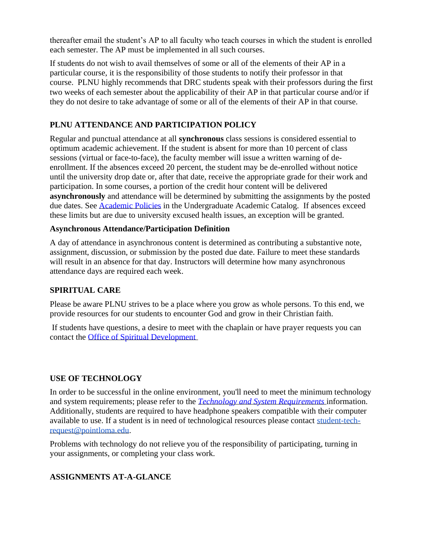thereafter email the student's AP to all faculty who teach courses in which the student is enrolled each semester. The AP must be implemented in all such courses.

If students do not wish to avail themselves of some or all of the elements of their AP in a particular course, it is the responsibility of those students to notify their professor in that course. PLNU highly recommends that DRC students speak with their professors during the first two weeks of each semester about the applicability of their AP in that particular course and/or if they do not desire to take advantage of some or all of the elements of their AP in that course.

# **PLNU ATTENDANCE AND PARTICIPATION POLICY**

Regular and punctual attendance at all **synchronous** class sessions is considered essential to optimum academic achievement. If the student is absent for more than 10 percent of class sessions (virtual or face-to-face), the faculty member will issue a written warning of deenrollment. If the absences exceed 20 percent, the student may be de-enrolled without notice until the university drop date or, after that date, receive the appropriate grade for their work and participation. In some courses, a portion of the credit hour content will be delivered **asynchronously** and attendance will be determined by submitting the assignments by the posted due dates. See [Academic Policies](https://catalog.pointloma.edu/content.php?catoid=46&navoid=2650#Class_Attendance) in the Undergraduate Academic Catalog. If absences exceed these limits but are due to university excused health issues, an exception will be granted.

#### **Asynchronous Attendance/Participation Definition**

A day of attendance in asynchronous content is determined as contributing a substantive note, assignment, discussion, or submission by the posted due date. Failure to meet these standards will result in an absence for that day. Instructors will determine how many asynchronous attendance days are required each week.

# **SPIRITUAL CARE**

Please be aware PLNU strives to be a place where you grow as whole persons. To this end, we provide resources for our students to encounter God and grow in their Christian faith.

If students have questions, a desire to meet with the chaplain or have prayer requests you can contact the [Office of Spiritual Development](https://www.pointloma.edu/offices/spiritual-development)

#### **USE OF TECHNOLOGY**

In order to be successful in the online environment, you'll need to meet the minimum technology and system requirements; please refer to the *[Technology and System Requirements](https://help.pointloma.edu/TDClient/1808/Portal/KB/ArticleDet?ID=108349)* information. Additionally, students are required to have headphone speakers compatible with their computer available to use. If a student is in need of technological resources please contact [student-tech](mailto:student-tech-request@pointloma.edu)[request@pointloma.edu.](mailto:student-tech-request@pointloma.edu)

Problems with technology do not relieve you of the responsibility of participating, turning in your assignments, or completing your class work.

# **ASSIGNMENTS AT-A-GLANCE**